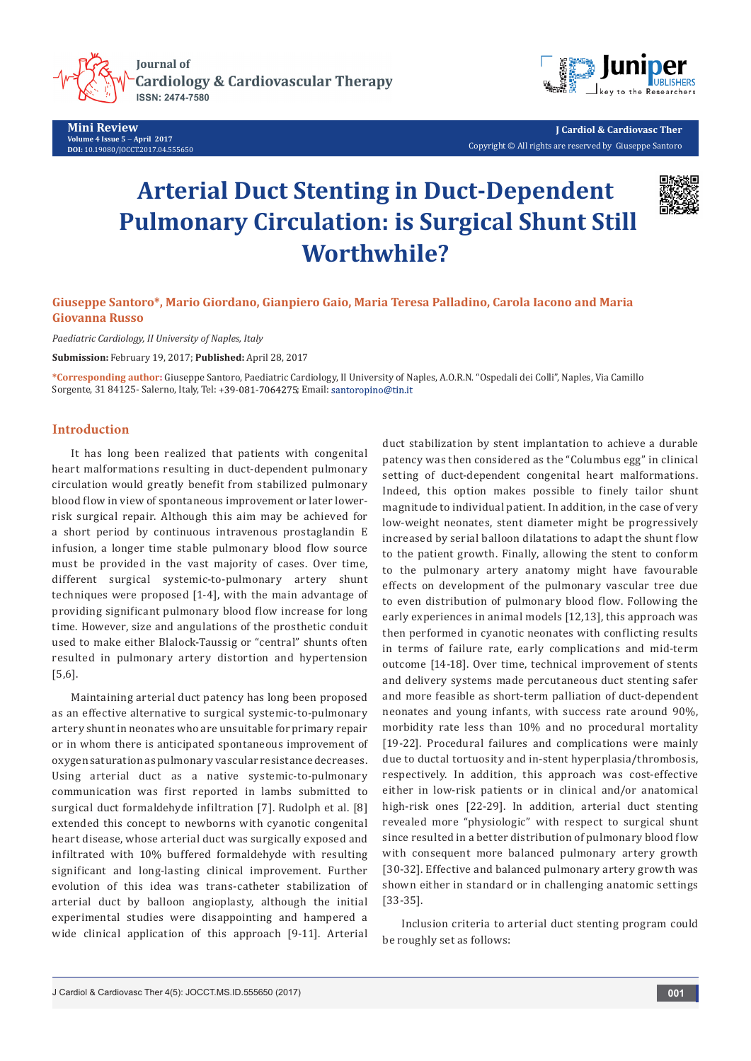

**Mini Review Volume 4 Issue 5** - **April 2017 DOI:** [10.19080/JOCCT.2017.04.555650](http://dx.doi.org/10.19080/JOCCT.2017.04.555650
)



**J Cardiol & Cardiovasc Ther** Copyright © All rights are reserved by Giuseppe Santoro

# **Arterial Duct Stenting in Duct-Dependent Pulmonary Circulation: is Surgical Shunt Still Worthwhile?**



## **Giuseppe Santoro\*, Mario Giordano, Gianpiero Gaio, Maria Teresa Palladino, Carola Iacono and Maria Giovanna Russo**

*Paediatric Cardiology, II University of Naples, Italy*

**Submission:** February 19, 2017; **Published:** April 28, 2017

**\*Corresponding author:** Giuseppe Santoro, Paediatric Cardiology, II University of Naples, A.O.R.N. "Ospedali dei Colli", Naples, Via Camillo Sorgente, 31 84125- Salerno, Italy, Tel: +39-081-7064275; Email: santoropino@tin.it

### **Introduction**

It has long been realized that patients with congenital heart malformations resulting in duct-dependent pulmonary circulation would greatly benefit from stabilized pulmonary blood flow in view of spontaneous improvement or later lowerrisk surgical repair. Although this aim may be achieved for a short period by continuous intravenous prostaglandin E infusion, a longer time stable pulmonary blood flow source must be provided in the vast majority of cases. Over time, different surgical systemic-to-pulmonary artery shunt techniques were proposed [1-4], with the main advantage of providing significant pulmonary blood flow increase for long time. However, size and angulations of the prosthetic conduit used to make either Blalock-Taussig or "central" shunts often resulted in pulmonary artery distortion and hypertension [5,6].

Maintaining arterial duct patency has long been proposed as an effective alternative to surgical systemic-to-pulmonary artery shunt in neonates who are unsuitable for primary repair or in whom there is anticipated spontaneous improvement of oxygen saturation as pulmonary vascular resistance decreases. Using arterial duct as a native systemic-to-pulmonary communication was first reported in lambs submitted to surgical duct formaldehyde infiltration [7]. Rudolph et al. [8] extended this concept to newborns with cyanotic congenital heart disease, whose arterial duct was surgically exposed and infiltrated with 10% buffered formaldehyde with resulting significant and long-lasting clinical improvement. Further evolution of this idea was trans-catheter stabilization of arterial duct by balloon angioplasty, although the initial experimental studies were disappointing and hampered a wide clinical application of this approach [9-11]. Arterial

duct stabilization by stent implantation to achieve a durable patency was then considered as the "Columbus egg" in clinical setting of duct-dependent congenital heart malformations. Indeed, this option makes possible to finely tailor shunt magnitude to individual patient. In addition, in the case of very low-weight neonates, stent diameter might be progressively increased by serial balloon dilatations to adapt the shunt flow to the patient growth. Finally, allowing the stent to conform to the pulmonary artery anatomy might have favourable effects on development of the pulmonary vascular tree due to even distribution of pulmonary blood flow. Following the early experiences in animal models [12,13], this approach was then performed in cyanotic neonates with conflicting results in terms of failure rate, early complications and mid-term outcome [14-18]. Over time, technical improvement of stents and delivery systems made percutaneous duct stenting safer and more feasible as short-term palliation of duct-dependent neonates and young infants, with success rate around 90%, morbidity rate less than 10% and no procedural mortality [19-22]. Procedural failures and complications were mainly due to ductal tortuosity and in-stent hyperplasia/thrombosis, respectively. In addition, this approach was cost-effective either in low-risk patients or in clinical and/or anatomical high-risk ones [22-29]. In addition, arterial duct stenting revealed more "physiologic" with respect to surgical shunt since resulted in a better distribution of pulmonary blood flow with consequent more balanced pulmonary artery growth [30-32]. Effective and balanced pulmonary artery growth was shown either in standard or in challenging anatomic settings [33-35].

Inclusion criteria to arterial duct stenting program could be roughly set as follows: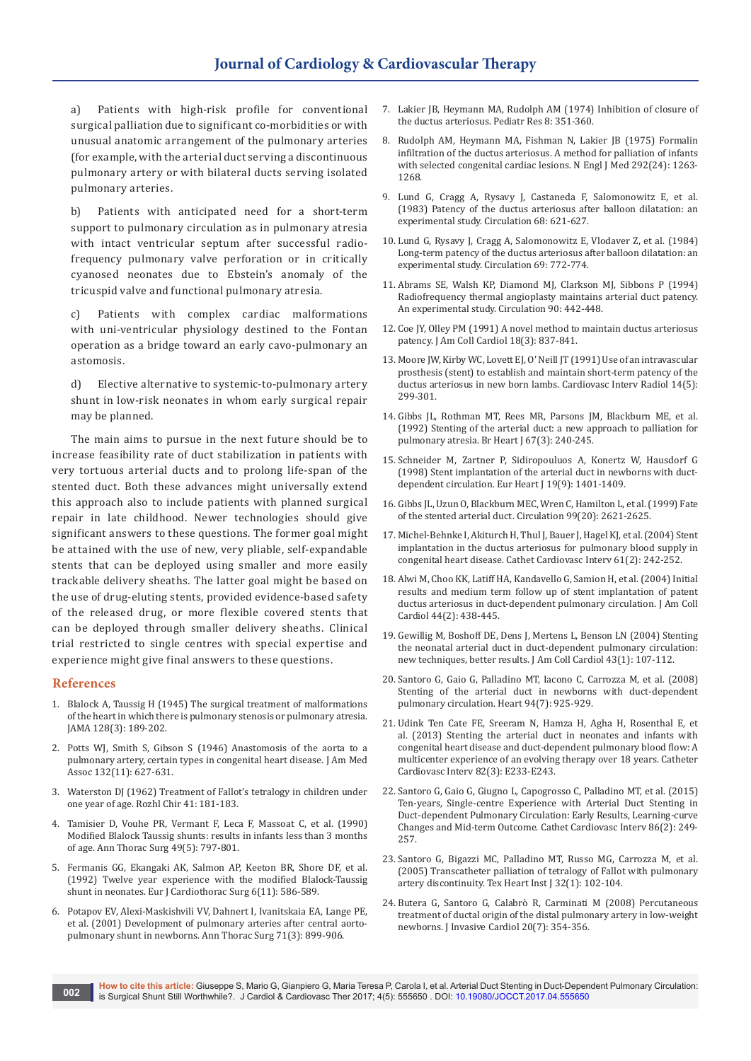a) Patients with high-risk profile for conventional surgical palliation due to significant co-morbidities or with unusual anatomic arrangement of the pulmonary arteries (for example, with the arterial duct serving a discontinuous pulmonary artery or with bilateral ducts serving isolated pulmonary arteries.

b) Patients with anticipated need for a short-term support to pulmonary circulation as in pulmonary atresia with intact ventricular septum after successful radiofrequency pulmonary valve perforation or in critically cyanosed neonates due to Ebstein's anomaly of the tricuspid valve and functional pulmonary atresia.

c) Patients with complex cardiac malformations with uni-ventricular physiology destined to the Fontan operation as a bridge toward an early cavo-pulmonary an astomosis.

d) Elective alternative to systemic-to-pulmonary artery shunt in low-risk neonates in whom early surgical repair may be planned.

The main aims to pursue in the next future should be to increase feasibility rate of duct stabilization in patients with very tortuous arterial ducts and to prolong life-span of the stented duct. Both these advances might universally extend this approach also to include patients with planned surgical repair in late childhood. Newer technologies should give significant answers to these questions. The former goal might be attained with the use of new, very pliable, self-expandable stents that can be deployed using smaller and more easily trackable delivery sheaths. The latter goal might be based on the use of drug-eluting stents, provided evidence-based safety of the released drug, or more flexible covered stents that can be deployed through smaller delivery sheaths. Clinical trial restricted to single centres with special expertise and experience might give final answers to these questions.

#### **References**

- 1. [Blalock A, Taussig H \(1945\) The surgical treatment of malformations](https://demystifyingmedicine.od.nih.gov/dm16/m03d22/Reading02.pdf)  [of the heart in which there is pulmonary stenosis or pulmonary atresia.](https://demystifyingmedicine.od.nih.gov/dm16/m03d22/Reading02.pdf)  [JAMA 128\(3\): 189-202.](https://demystifyingmedicine.od.nih.gov/dm16/m03d22/Reading02.pdf)
- 2. [Potts WJ, Smith S, Gibson S \(1946\) Anastomosis of the aorta to a](https://www.ncbi.nlm.nih.gov/pubmed/21001606)  [pulmonary artery, certain types in congenital heart disease. J Am Med](https://www.ncbi.nlm.nih.gov/pubmed/21001606)  [Assoc 132\(11\): 627-631.](https://www.ncbi.nlm.nih.gov/pubmed/21001606)
- 3. [Waterston DJ \(1962\) Treatment of Fallot's tetralogy in children under](https://www.ncbi.nlm.nih.gov/pubmed/14005236)  [one year of age. Rozhl Chir 41: 181-183.](https://www.ncbi.nlm.nih.gov/pubmed/14005236)
- 4. [Tamisier D, Vouhe PR, Vermant F, Leca F, Massoat C, et al. \(1990\)](https://www.ncbi.nlm.nih.gov/pubmed/1692681)  [Modified Blalock Taussig shunts: results in infants less than 3 months](https://www.ncbi.nlm.nih.gov/pubmed/1692681)  [of age. Ann Thorac Surg 49\(5\): 797-801.](https://www.ncbi.nlm.nih.gov/pubmed/1692681)
- 5. [Fermanis GG, Ekangaki AK, Salmon AP, Keeton BR, Shore DF, et al.](https://www.ncbi.nlm.nih.gov/pubmed/1449812)  (1992) [Twelve year experience with the modified Blalock-Taussig](https://www.ncbi.nlm.nih.gov/pubmed/1449812)  [shunt in neonates. Eur J Cardiothorac Surg 6\(11\): 586-589.](https://www.ncbi.nlm.nih.gov/pubmed/1449812)
- 6. [Potapov EV, Alexi-Maskishvili VV, Dahnert I, Ivanitskaia EA, Lange PE,](https://www.ncbi.nlm.nih.gov/pubmed/11269471)  [et al. \(2001\) Development of pulmonary arteries after central aorto](https://www.ncbi.nlm.nih.gov/pubmed/11269471)[pulmonary shunt in newborns. Ann Thorac Surg 71\(3\): 899-906.](https://www.ncbi.nlm.nih.gov/pubmed/11269471)
- 7. [Lakier JB, Heymann MA, Rudolph AM \(1974\) Inhibition of closure of](https://www.nature.com/pr/journal/v8/n4/abs/pr1974194a.html)  [the ductus arteriosus. Pediatr Res 8: 351-360.](https://www.nature.com/pr/journal/v8/n4/abs/pr1974194a.html)
- 8. [Rudolph AM, Heymann MA, Fishman N, Lakier JB \(1975\) Formalin](https://www.ncbi.nlm.nih.gov/pubmed/48192)  [infiltration of the ductus arteriosus. A method for palliation of infants](https://www.ncbi.nlm.nih.gov/pubmed/48192)  [with selected congenital cardiac lesions. N Engl J Med 292\(24\): 1263-](https://www.ncbi.nlm.nih.gov/pubmed/48192) [1268.](https://www.ncbi.nlm.nih.gov/pubmed/48192)
- 9. [Lund G, Cragg A, Rysavy J, Castaneda F, Salomonowitz E, et al.](http://circ.ahajournals.org/content/68/3/621)  [\(1983\) Patency of the ductus arteriosus after balloon dilatation: an](http://circ.ahajournals.org/content/68/3/621)  [experimental study. Circulation 68: 621-627.](http://circ.ahajournals.org/content/68/3/621)
- 10. [Lund G, Rysavy J, Cragg A, Salomonowitz E, Vlodaver Z, et al. \(1984\)](http://circ.ahajournals.org/content/69/4/772)  [Long-term patency of the ductus arteriosus after balloon dilatation: an](http://circ.ahajournals.org/content/69/4/772)  [experimental study. Circulation 69: 772-774.](http://circ.ahajournals.org/content/69/4/772)
- 11. [Abrams SE, Walsh KP, Diamond MJ, Clarkson MJ, Sibbons P \(1994\)](http://circ.ahajournals.org/content/90/1/442)  [Radiofrequency thermal angioplasty maintains arterial duct patency.](http://circ.ahajournals.org/content/90/1/442)  [An experimental study. Circulation 90: 442-448.](http://circ.ahajournals.org/content/90/1/442)
- 12. [Coe JY, Olley PM \(1991\) A novel method to maintain ductus arteriosus](https://www.ncbi.nlm.nih.gov/pubmed/1869747)  [patency. J Am Coll Cardiol 18\(3\): 837-841.](https://www.ncbi.nlm.nih.gov/pubmed/1869747)
- 13. [Moore JW, Kirby WC, Lovett EJ, O' Neill JT \(1991\) Use of an intravascular](https://www.ncbi.nlm.nih.gov/pubmed/1933975)  [prosthesis \(stent\) to establish and maintain short-term patency of the](https://www.ncbi.nlm.nih.gov/pubmed/1933975)  [ductus arteriosus in new born lambs. Cardiovasc Interv Radiol 14\(5\):](https://www.ncbi.nlm.nih.gov/pubmed/1933975)  [299-301.](https://www.ncbi.nlm.nih.gov/pubmed/1933975)
- 14. [Gibbs JL, Rothman MT, Rees MR, Parsons JM, Blackburn ME, et al.](https://www.ncbi.nlm.nih.gov/pubmed/1372815)  [\(1992\) Stenting of the arterial duct: a new approach to palliation for](https://www.ncbi.nlm.nih.gov/pubmed/1372815)  [pulmonary atresia. Br Heart J 67\(3\): 240-245.](https://www.ncbi.nlm.nih.gov/pubmed/1372815)
- 15. [Schneider M, Zartner P, Sidiropouluos A, Konertz W, Hausdorf G](https://www.ncbi.nlm.nih.gov/pubmed/9792267)  [\(1998\) Stent implantation of the arterial duct in newborns with duct](https://www.ncbi.nlm.nih.gov/pubmed/9792267)[dependent circulation. Eur Heart J 19\(9\): 1401-1409.](https://www.ncbi.nlm.nih.gov/pubmed/9792267)
- 16. [Gibbs JL, Uzun O, Blackburn MEC, Wren C, Hamilton L, et al. \(1999\) Fate](https://www.ncbi.nlm.nih.gov/pubmed/10338453)  [of the stented arterial duct. Circulation 99\(20\): 2621-2625.](https://www.ncbi.nlm.nih.gov/pubmed/10338453)
- 17. [Michel-Behnke I, Akiturch H, Thul J, Bauer J, Hagel KJ, et al. \(2004\) Stent](https://www.ncbi.nlm.nih.gov/pubmed/14755821)  [implantation in the ductus arteriosus for pulmonary blood supply in](https://www.ncbi.nlm.nih.gov/pubmed/14755821)  [congenital heart disease. Cathet Cardiovasc Interv 61\(2\): 242-252.](https://www.ncbi.nlm.nih.gov/pubmed/14755821)
- 18. [Alwi M, Choo KK, Latiff HA, Kandavello G, Samion H, et al. \(2004\) Initial](https://www.ncbi.nlm.nih.gov/pubmed/15261945)  [results and medium term follow up of stent implantation of patent](https://www.ncbi.nlm.nih.gov/pubmed/15261945)  [ductus arteriosus in duct-dependent pulmonary circulation. J Am Coll](https://www.ncbi.nlm.nih.gov/pubmed/15261945)  [Cardiol 44\(2\): 438-445.](https://www.ncbi.nlm.nih.gov/pubmed/15261945)
- 19. [Gewillig M, Boshoff DE, Dens J, Mertens L, Benson LN \(2004\) Stenting](https://www.ncbi.nlm.nih.gov/pubmed/14715191)  [the neonatal arterial duct in duct-dependent pulmonary circulation:](https://www.ncbi.nlm.nih.gov/pubmed/14715191)  [new techniques, better results. J Am Coll Cardiol 43\(1\): 107-112.](https://www.ncbi.nlm.nih.gov/pubmed/14715191)
- 20. [Santoro G, Gaio G, Palladino MT, Iacono C, Carrozza M, et al. \(2008\)](https://www.ncbi.nlm.nih.gov/pubmed/17664187)  [Stenting of the arterial duct in newborns with duct-dependent](https://www.ncbi.nlm.nih.gov/pubmed/17664187)  [pulmonary circulation. Heart 94\(7\): 925-929.](https://www.ncbi.nlm.nih.gov/pubmed/17664187)
- 21. [Udink Ten Cate FE, Sreeram N, Hamza H, Agha H, Rosenthal E, et](https://www.ncbi.nlm.nih.gov/pubmed/23420699)  [al. \(2013\) Stenting the arterial duct in neonates and infants with](https://www.ncbi.nlm.nih.gov/pubmed/23420699)  [congenital heart disease and duct-dependent pulmonary blood flow: A](https://www.ncbi.nlm.nih.gov/pubmed/23420699)  [multicenter experience of an evolving therapy over 18 years. Catheter](https://www.ncbi.nlm.nih.gov/pubmed/23420699)  [Cardiovasc Interv 82\(3\): E233-E243.](https://www.ncbi.nlm.nih.gov/pubmed/23420699)
- 22. [Santoro G, Gaio G, Giugno L, Capogrosso C, Palladino MT, et al. \(2015\)](https://www.ncbi.nlm.nih.gov/pubmed/25855154)  [Ten-years, Single-centre Experience with Arterial Duct Stenting in](https://www.ncbi.nlm.nih.gov/pubmed/25855154)  [Duct-dependent Pulmonary Circulation: Early Results, Learning-curve](https://www.ncbi.nlm.nih.gov/pubmed/25855154)  [Changes and Mid-term Outcome. Cathet Cardiovasc Interv 86\(2\): 249-](https://www.ncbi.nlm.nih.gov/pubmed/25855154) [257.](https://www.ncbi.nlm.nih.gov/pubmed/25855154)
- 23. [Santoro G, Bigazzi MC, Palladino MT, Russo MG, Carrozza M, et al.](https://www.ncbi.nlm.nih.gov/pubmed/15902835/)  [\(2005\) Transcatheter palliation of tetralogy of Fallot with pulmonary](https://www.ncbi.nlm.nih.gov/pubmed/15902835/)  [artery discontinuity. Tex Heart Inst J 32\(1\): 102-104.](https://www.ncbi.nlm.nih.gov/pubmed/15902835/)
- 24. [Butera G, Santoro G, Calabrò R, Carminati M \(2008\) Percutaneous](https://www.ncbi.nlm.nih.gov/pubmed/18599894)  [treatment of ductal origin of the distal pulmonary artery in low-weight](https://www.ncbi.nlm.nih.gov/pubmed/18599894)  [newborns. J Invasive Cardiol 20\(7\): 354-356.](https://www.ncbi.nlm.nih.gov/pubmed/18599894)